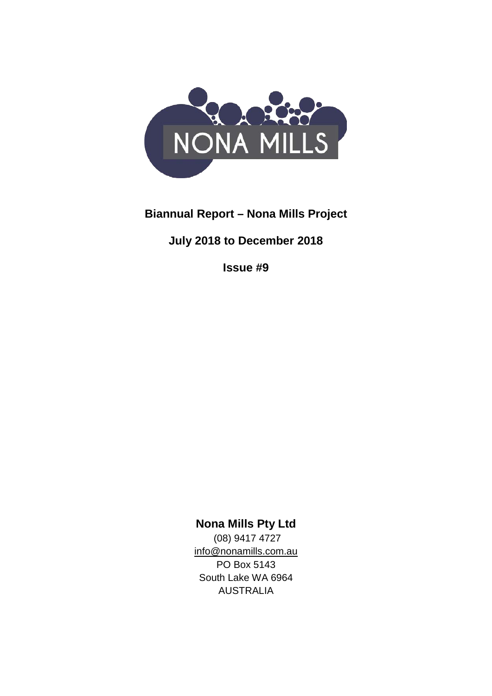

## **Biannual Report – Nona Mills Project**

**July 2018 to December 2018**

**Issue #9**

**Nona Mills Pty Ltd**

(08) 9417 4727 [info@nonamills.com.au](mailto:info@nonamills.com.au) PO Box 5143 South Lake WA 6964 AUSTRALIA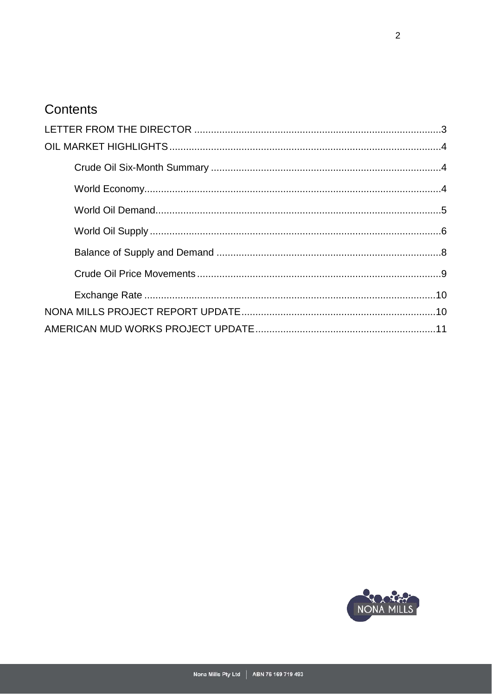# Contents

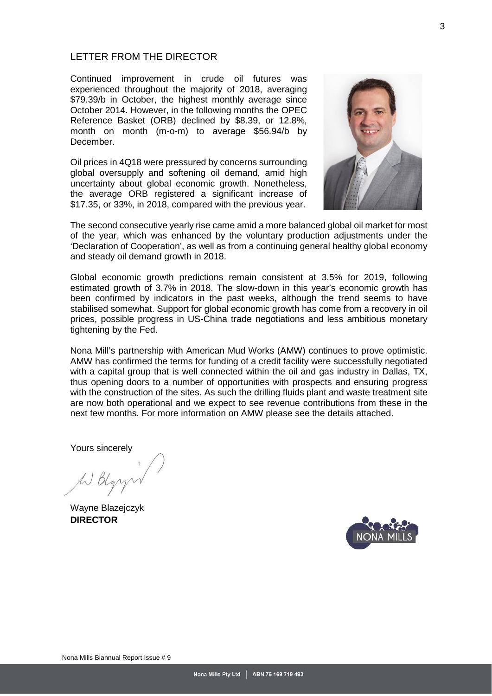## <span id="page-2-0"></span>LETTER FROM THE DIRECTOR

Continued improvement in crude oil futures was experienced throughout the majority of 2018, averaging \$79.39/b in October, the highest monthly average since October 2014. However, in the following months the OPEC Reference Basket (ORB) declined by \$8.39, or 12.8%, month on month (m-o-m) to average \$56.94/b by December.

Oil prices in 4Q18 were pressured by concerns surrounding global oversupply and softening oil demand, amid high uncertainty about global economic growth. Nonetheless, the average ORB registered a significant increase of \$17.35, or 33%, in 2018, compared with the previous year.



The second consecutive yearly rise came amid a more balanced global oil market for most of the year, which was enhanced by the voluntary production adjustments under the 'Declaration of Cooperation', as well as from a continuing general healthy global economy and steady oil demand growth in 2018.

Global economic growth predictions remain consistent at 3.5% for 2019, following estimated growth of 3.7% in 2018. The slow-down in this year's economic growth has been confirmed by indicators in the past weeks, although the trend seems to have stabilised somewhat. Support for global economic growth has come from a recovery in oil prices, possible progress in US-China trade negotiations and less ambitious monetary tightening by the Fed.

Nona Mill's partnership with American Mud Works (AMW) continues to prove optimistic. AMW has confirmed the terms for funding of a credit facility were successfully negotiated with a capital group that is well connected within the oil and gas industry in Dallas, TX, thus opening doors to a number of opportunities with prospects and ensuring progress with the construction of the sites. As such the drilling fluids plant and waste treatment site are now both operational and we expect to see revenue contributions from these in the next few months. For more information on AMW please see the details attached.

Yours sincerely

W. Blgr

Wayne Blazejczyk **DIRECTOR**

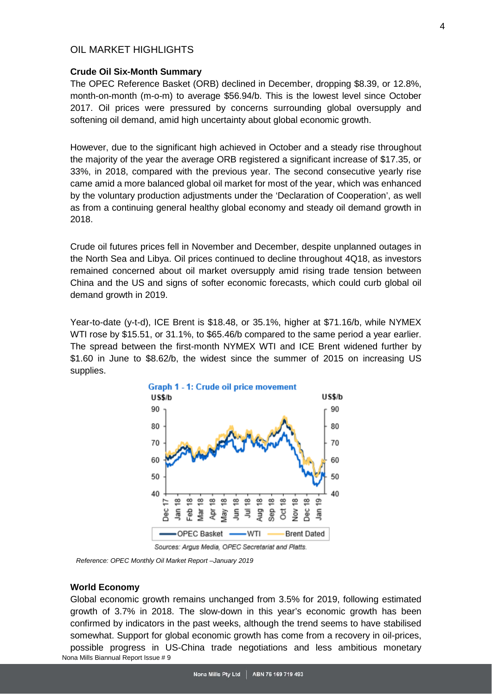## <span id="page-3-0"></span>OIL MARKET HIGHI IGHTS

#### <span id="page-3-1"></span>**Crude Oil Six-Month Summary**

The OPEC Reference Basket (ORB) declined in December, dropping \$8.39, or 12.8%, month-on-month (m-o-m) to average \$56.94/b. This is the lowest level since October 2017. Oil prices were pressured by concerns surrounding global oversupply and softening oil demand, amid high uncertainty about global economic growth.

However, due to the significant high achieved in October and a steady rise throughout the majority of the year the average ORB registered a significant increase of \$17.35, or 33%, in 2018, compared with the previous year. The second consecutive yearly rise came amid a more balanced global oil market for most of the year, which was enhanced by the voluntary production adjustments under the 'Declaration of Cooperation', as well as from a continuing general healthy global economy and steady oil demand growth in 2018.

Crude oil futures prices fell in November and December, despite unplanned outages in the North Sea and Libya. Oil prices continued to decline throughout 4Q18, as investors remained concerned about oil market oversupply amid rising trade tension between China and the US and signs of softer economic forecasts, which could curb global oil demand growth in 2019.

Year-to-date (y-t-d), ICE Brent is \$18.48, or 35.1%, higher at \$71.16/b, while NYMEX WTI rose by \$15.51, or 31.1%, to \$65.46/b compared to the same period a year earlier. The spread between the first-month NYMEX WTI and ICE Brent widened further by \$1.60 in June to \$8.62/b, the widest since the summer of 2015 on increasing US supplies.



 *Reference: OPEC Monthly Oil Market Report –January 2019*

#### **World Economy**

<span id="page-3-2"></span>Nona Mills Biannual Report Issue # 9 Global economic growth remains unchanged from 3.5% for 2019, following estimated growth of 3.7% in 2018. The slow-down in this year's economic growth has been confirmed by indicators in the past weeks, although the trend seems to have stabilised somewhat. Support for global economic growth has come from a recovery in oil-prices, possible progress in US-China trade negotiations and less ambitious monetary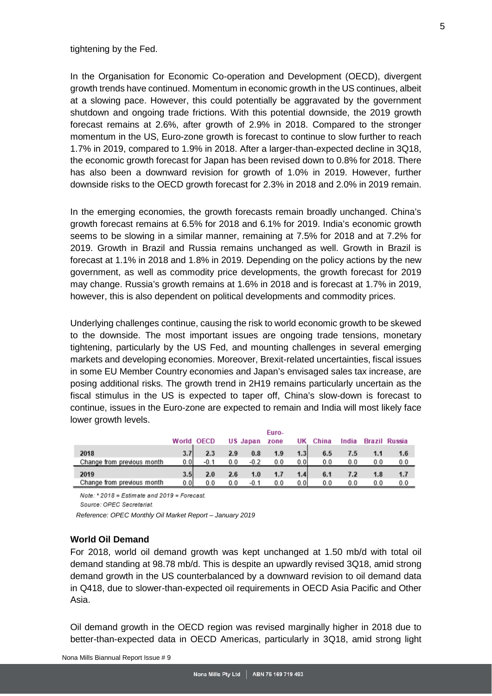#### tightening by the Fed.

In the Organisation for Economic Co-operation and Development (OECD), divergent growth trends have continued. Momentum in economic growth in the US continues, albeit at a slowing pace. However, this could potentially be aggravated by the government shutdown and ongoing trade frictions. With this potential downside, the 2019 growth forecast remains at 2.6%, after growth of 2.9% in 2018. Compared to the stronger momentum in the US, Euro-zone growth is forecast to continue to slow further to reach 1.7% in 2019, compared to 1.9% in 2018. After a larger-than-expected decline in 3Q18, the economic growth forecast for Japan has been revised down to 0.8% for 2018. There has also been a downward revision for growth of 1.0% in 2019. However, further downside risks to the OECD growth forecast for 2.3% in 2018 and 2.0% in 2019 remain.

In the emerging economies, the growth forecasts remain broadly unchanged. China's growth forecast remains at 6.5% for 2018 and 6.1% for 2019. India's economic growth seems to be slowing in a similar manner, remaining at 7.5% for 2018 and at 7.2% for 2019. Growth in Brazil and Russia remains unchanged as well. Growth in Brazil is forecast at 1.1% in 2018 and 1.8% in 2019. Depending on the policy actions by the new government, as well as commodity price developments, the growth forecast for 2019 may change. Russia's growth remains at 1.6% in 2018 and is forecast at 1.7% in 2019, however, this is also dependent on political developments and commodity prices.

Underlying challenges continue, causing the risk to world economic growth to be skewed to the downside. The most important issues are ongoing trade tensions, monetary tightening, particularly by the US Fed, and mounting challenges in several emerging markets and developing economies. Moreover, Brexit-related uncertainties, fiscal issues in some EU Member Country economies and Japan's envisaged sales tax increase, are posing additional risks. The growth trend in 2H19 remains particularly uncertain as the fiscal stimulus in the US is expected to taper off, China's slow-down is forecast to continue, issues in the Euro-zone are expected to remain and India will most likely face lower growth levels.

|                            | World | <b>OECD</b> |     | US Japan | Euro-<br>zone | UΚ               | China | India |     | Brazil Russia |
|----------------------------|-------|-------------|-----|----------|---------------|------------------|-------|-------|-----|---------------|
| 2018                       | 3.7   | 2.3         | 2.9 | 0.8      | 1.9           | 1.3              | 6.5   | 7.5   |     | 1.6           |
| Change from previous month | 0.01  | $-0.1$      | 0.0 | $-0.2$   | 0.0           | 0.0              | 0.0   | 0.0   | 0.0 | 0.0           |
| 2019                       | 3.5   | 2.0         | 2.6 | 1.0      | 1.7           | 1.4 <sub>1</sub> | 6.1   |       | 1.8 | 1.7           |
| Change from previous month | 0.01  | 0.0         | 0.0 | $-0.1$   | 0.0           | 0.01             | 0.0   | 0.0   | 0.0 | 0.0           |

Note:  $*$  2018 = Estimate and 2019 = Forecast.

Source: OPEC Secretariat

*Reference: OPEC Monthly Oil Market Report – January 2019*

## <span id="page-4-0"></span>**World Oil Demand**

For 2018, world oil demand growth was kept unchanged at 1.50 mb/d with total oil demand standing at 98.78 mb/d. This is despite an upwardly revised 3Q18, amid strong demand growth in the US counterbalanced by a downward revision to oil demand data in Q418, due to slower-than-expected oil requirements in OECD Asia Pacific and Other Asia.

Oil demand growth in the OECD region was revised marginally higher in 2018 due to better-than-expected data in OECD Americas, particularly in 3Q18, amid strong light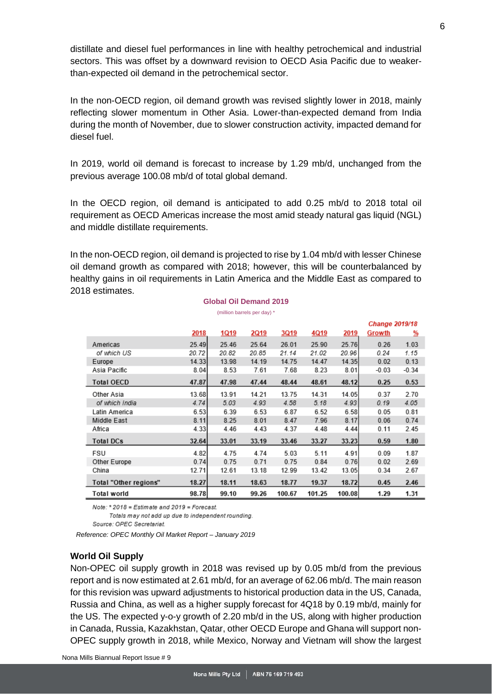distillate and diesel fuel performances in line with healthy petrochemical and industrial sectors. This was offset by a downward revision to OECD Asia Pacific due to weakerthan-expected oil demand in the petrochemical sector.

In the non-OECD region, oil demand growth was revised slightly lower in 2018, mainly reflecting slower momentum in Other Asia. Lower-than-expected demand from India during the month of November, due to slower construction activity, impacted demand for diesel fuel.

In 2019, world oil demand is forecast to increase by 1.29 mb/d, unchanged from the previous average 100.08 mb/d of total global demand.

In the OECD region, oil demand is anticipated to add 0.25 mb/d to 2018 total oil requirement as OECD Americas increase the most amid steady natural gas liquid (NGL) and middle distillate requirements.

In the non-OECD region, oil demand is projected to rise by 1.04 mb/d with lesser Chinese oil demand growth as compared with 2018; however, this will be counterbalanced by healthy gains in oil requirements in Latin America and the Middle East as compared to 2018 estimates.

> **Global Oil Demand 2019** (million barrels per day) \*

|                       |       |             |       |        |        |        | <b>Change 2019/18</b> |          |
|-----------------------|-------|-------------|-------|--------|--------|--------|-----------------------|----------|
|                       | 2018  | <u>1Q19</u> | 2Q19  | 3Q19   | 4Q19   | 2019   | Growth                | <u>%</u> |
| Americas              | 25.49 | 25.46       | 25.64 | 26.01  | 25.90  | 25.76  | 0.26                  | 1.03     |
| of which US           | 20.72 | 20.82       | 20.85 | 21.14  | 21.02  | 20.96  | 0.24                  | 1.15     |
| Europe                | 14.33 | 13.98       | 14.19 | 14.75  | 14.47  | 14.35  | 0.02                  | 0.13     |
| Asia Pacific          | 8.04  | 8.53        | 7.61  | 7.68   | 8.23   | 8.01   | $-0.03$               | $-0.34$  |
| <b>Total OECD</b>     | 47.87 | 47.98       | 47.44 | 48.44  | 48.61  | 48.12  | 0.25                  | 0.53     |
| Other Asia            | 13.68 | 13.91       | 14.21 | 13.75  | 14.31  | 14.05  | 0.37                  | 2.70     |
| of which India        | 4.74  | 5.03        | 4.93  | 4.58   | 5.18   | 4.93   | 0.19                  | 4.05     |
| Latin America         | 6.53  | 6.39        | 6.53  | 6.87   | 6.52   | 6.58   | 0.05                  | 0.81     |
| Middle East           | 8.11  | 8.25        | 8.01  | 8.47   | 7.96   | 8.17   | 0.06                  | 0.74     |
| Africa                | 4.33  | 4.46        | 4.43  | 4.37   | 4.48   | 4.44   | 0.11                  | 2.45     |
| <b>Total DCs</b>      | 32.64 | 33.01       | 33.19 | 33.46  | 33.27  | 33.23  | 0.59                  | 1.80     |
| FSU                   | 4.82  | 4.75        | 4.74  | 5.03   | 5.11   | 4.91   | 0.09                  | 1.87     |
| Other Europe          | 0.74  | 0.75        | 0.71  | 0.75   | 0.84   | 0.76   | 0.02                  | 2.69     |
| China                 | 12.71 | 12.61       | 13.18 | 12.99  | 13.42  | 13.05  | 0.34                  | 2.67     |
| Total "Other regions" | 18.27 | 18.11       | 18.63 | 18.77  | 19.37  | 18.72  | 0.45                  | 2.46     |
| Total world           | 98.78 | 99.10       | 99.26 | 100.67 | 101.25 | 100.08 | 1.29                  | 1.31     |

Note: \* 2018 = Estimate and 2019 = Forecast.

Totals may not add up due to independent rounding.

Source: OPEC Secretariat.

*Reference: OPEC Monthly Oil Market Report – January 2019*

#### <span id="page-5-0"></span>**World Oil Supply**

Non-OPEC oil supply growth in 2018 was revised up by 0.05 mb/d from the previous report and is now estimated at 2.61 mb/d, for an average of 62.06 mb/d. The main reason for this revision was upward adjustments to historical production data in the US, Canada, Russia and China, as well as a higher supply forecast for 4Q18 by 0.19 mb/d, mainly for the US. The expected y-o-y growth of 2.20 mb/d in the US, along with higher production in Canada, Russia, Kazakhstan, Qatar, other OECD Europe and Ghana will support non-OPEC supply growth in 2018, while Mexico, Norway and Vietnam will show the largest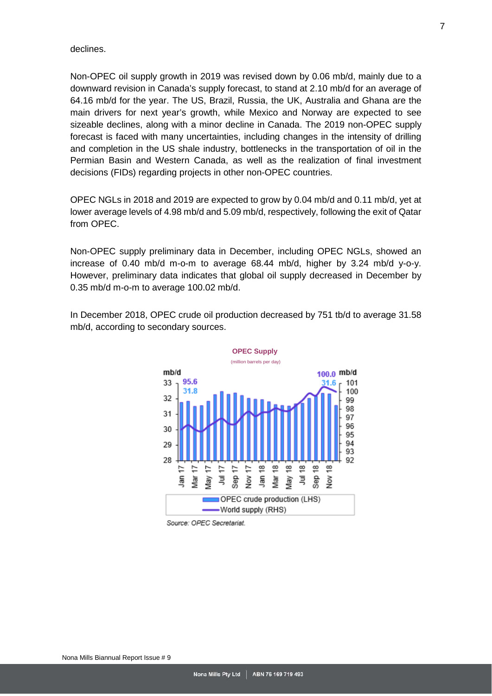declines.

Non-OPEC oil supply growth in 2019 was revised down by 0.06 mb/d, mainly due to a downward revision in Canada's supply forecast, to stand at 2.10 mb/d for an average of 64.16 mb/d for the year. The US, Brazil, Russia, the UK, Australia and Ghana are the main drivers for next year's growth, while Mexico and Norway are expected to see sizeable declines, along with a minor decline in Canada. The 2019 non-OPEC supply forecast is faced with many uncertainties, including changes in the intensity of drilling and completion in the US shale industry, bottlenecks in the transportation of oil in the Permian Basin and Western Canada, as well as the realization of final investment decisions (FIDs) regarding projects in other non-OPEC countries.

OPEC NGLs in 2018 and 2019 are expected to grow by 0.04 mb/d and 0.11 mb/d, yet at lower average levels of 4.98 mb/d and 5.09 mb/d, respectively, following the exit of Qatar from OPEC.

Non-OPEC supply preliminary data in December, including OPEC NGLs, showed an increase of 0.40 mb/d m-o-m to average 68.44 mb/d, higher by 3.24 mb/d y-o-y. However, preliminary data indicates that global oil supply decreased in December by 0.35 mb/d m-o-m to average 100.02 mb/d.

In December 2018, OPEC crude oil production decreased by 751 tb/d to average 31.58 mb/d, according to secondary sources.



Source: OPEC Secretariat.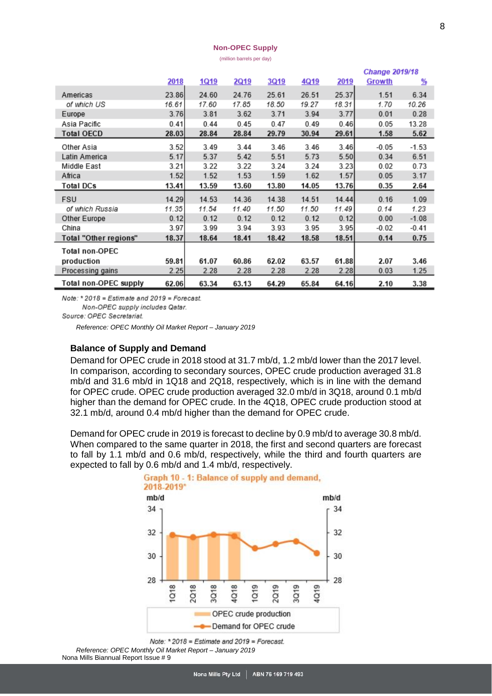#### **Non-OPEC Supply**

(million barrels per day)

|                       |       |       |       |       |       |       | <b>Change 2019/18</b> |         |  |
|-----------------------|-------|-------|-------|-------|-------|-------|-----------------------|---------|--|
|                       | 2018  | 1Q19  | 2Q19  | 3Q19  | 4Q19  | 2019  | Growth                | %       |  |
| Americas              | 23.86 | 24.60 | 24.76 | 25.61 | 26.51 | 25.37 | 1.51                  | 6.34    |  |
| of which US           | 16.61 | 17.60 | 17.85 | 18.50 | 19.27 | 18.31 | 1.70                  | 10.26   |  |
| Europe                | 3.76  | 3.81  | 3.62  | 3.71  | 3.94  | 3.77  | 0.01                  | 0.28    |  |
| Asia Pacific          | 0.41  | 0.44  | 0.45  | 0.47  | 0.49  | 0.46  | 0.05                  | 13.28   |  |
| <b>Total OECD</b>     | 28.03 | 28.84 | 28.84 | 29.79 | 30.94 | 29.61 | 1.58                  | 5.62    |  |
| Other Asia            | 3.52  | 3.49  | 3.44  | 3.46  | 3.46  | 3.46  | $-0.05$               | $-1.53$ |  |
| Latin America         | 5.17  | 5.37  | 5.42  | 5.51  | 5.73  | 5.50  | 0.34                  | 6.51    |  |
| Middle East           | 3.21  | 3.22  | 3.22  | 3.24  | 3.24  | 3.23  | 0.02                  | 0.73    |  |
| Africa                | 1.52  | 1.52  | 1.53  | 1.59  | 1.62  | 1.57  | 0.05                  | 3.17    |  |
| Total DCs             | 13.41 | 13.59 | 13.60 | 13.80 | 14.05 | 13.76 | 0.35                  | 2.64    |  |
| <b>FSU</b>            | 14.29 | 14.53 | 14.36 | 14.38 | 14.51 | 14.44 | 0.16                  | 1.09    |  |
| of which Russia       | 11.35 | 11.54 | 11.40 | 11.50 | 11.50 | 11.49 | 0.14                  | 1.23    |  |
| Other Europe          | 0.12  | 0.12  | 0.12  | 0.12  | 0.12  | 0.12  | 0.00                  | $-1.08$ |  |
| China                 | 3.97  | 3.99  | 3.94  | 3.93  | 3.95  | 3.95  | $-0.02$               | $-0.41$ |  |
| Total "Other regions" | 18.37 | 18.64 | 18.41 | 18.42 | 18.58 | 18.51 | 0.14                  | 0.75    |  |
| Total non-OPEC        |       |       |       |       |       |       |                       |         |  |
| production            | 59.81 | 61.07 | 60.86 | 62.02 | 63.57 | 61.88 | 2.07                  | 3.46    |  |
| Processing gains      | 2.25  | 2.28  | 2.28  | 2.28  | 2.28  | 2.28  | 0.03                  | 1.25    |  |
| Total non-OPEC supply | 62.06 | 63.34 | 63.13 | 64.29 | 65.84 | 64.16 | 2.10                  | 3.38    |  |

Note: \* 2018 = Estimate and 2019 = Forecast.

Non-OPEC supply includes Qatar.

<span id="page-7-0"></span>Source: OPEC Secretariat.

*Reference: OPEC Monthly Oil Market Report – January 2019*

## **Balance of Supply and Demand**

Demand for OPEC crude in 2018 stood at 31.7 mb/d, 1.2 mb/d lower than the 2017 level. In comparison, according to secondary sources, OPEC crude production averaged 31.8 mb/d and 31.6 mb/d in 1Q18 and 2Q18, respectively, which is in line with the demand for OPEC crude. OPEC crude production averaged 32.0 mb/d in 3Q18, around 0.1 mb/d higher than the demand for OPEC crude. In the 4Q18, OPEC crude production stood at 32.1 mb/d, around 0.4 mb/d higher than the demand for OPEC crude.

Demand for OPEC crude in 2019 is forecast to decline by 0.9 mb/d to average 30.8 mb/d. When compared to the same quarter in 2018, the first and second quarters are forecast to fall by 1.1 mb/d and 0.6 mb/d, respectively, while the third and fourth quarters are expected to fall by 0.6 mb/d and 1.4 mb/d, respectively.



Graph 10 - 1: Balance of supply and demand, 2018-2019\*

Note:  $*$  2018 = Estimate and 2019 = Forecast. *Reference: OPEC Monthly Oil Market Report – January 2019*

Nona Mills Biannual Report Issue # 9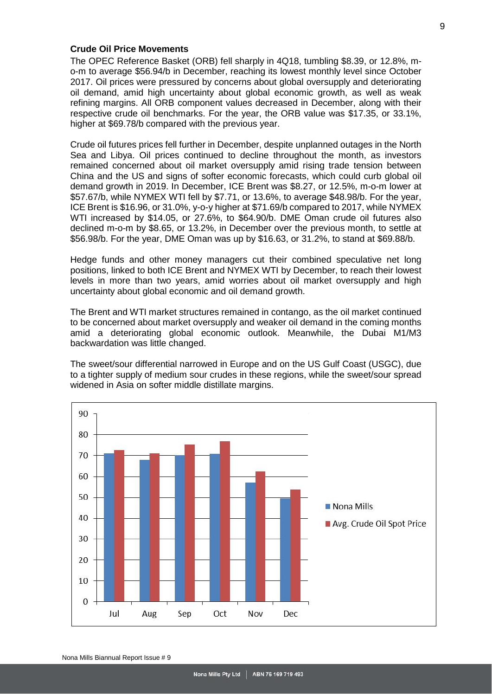### <span id="page-8-0"></span>**Crude Oil Price Movements**

The OPEC Reference Basket (ORB) fell sharply in 4Q18, tumbling \$8.39, or 12.8%, mo-m to average \$56.94/b in December, reaching its lowest monthly level since October 2017. Oil prices were pressured by concerns about global oversupply and deteriorating oil demand, amid high uncertainty about global economic growth, as well as weak refining margins. All ORB component values decreased in December, along with their respective crude oil benchmarks. For the year, the ORB value was \$17.35, or 33.1%, higher at \$69.78/b compared with the previous year.

Crude oil futures prices fell further in December, despite unplanned outages in the North Sea and Libya. Oil prices continued to decline throughout the month, as investors remained concerned about oil market oversupply amid rising trade tension between China and the US and signs of softer economic forecasts, which could curb global oil demand growth in 2019. In December, ICE Brent was \$8.27, or 12.5%, m-o-m lower at \$57.67/b, while NYMEX WTI fell by \$7.71, or 13.6%, to average \$48.98/b. For the year, ICE Brent is \$16.96, or 31.0%, y-o-y higher at \$71.69/b compared to 2017, while NYMEX WTI increased by \$14.05, or 27.6%, to \$64.90/b. DME Oman crude oil futures also declined m-o-m by \$8.65, or 13.2%, in December over the previous month, to settle at \$56.98/b. For the year, DME Oman was up by \$16.63, or 31.2%, to stand at \$69.88/b.

Hedge funds and other money managers cut their combined speculative net long positions, linked to both ICE Brent and NYMEX WTI by December, to reach their lowest levels in more than two years, amid worries about oil market oversupply and high uncertainty about global economic and oil demand growth.

The Brent and WTI market structures remained in contango, as the oil market continued to be concerned about market oversupply and weaker oil demand in the coming months amid a deteriorating global economic outlook. Meanwhile, the Dubai M1/M3 backwardation was little changed.

The sweet/sour differential narrowed in Europe and on the US Gulf Coast (USGC), due to a tighter supply of medium sour crudes in these regions, while the sweet/sour spread widened in Asia on softer middle distillate margins.

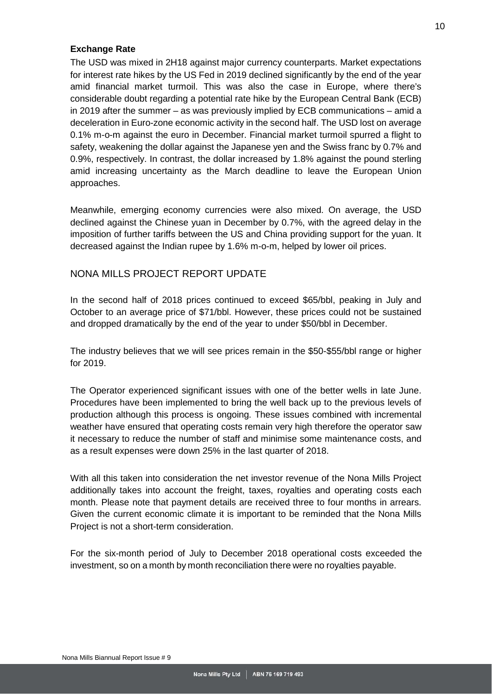### <span id="page-9-0"></span>**Exchange Rate**

The USD was mixed in 2H18 against major currency counterparts. Market expectations for interest rate hikes by the US Fed in 2019 declined significantly by the end of the year amid financial market turmoil. This was also the case in Europe, where there's considerable doubt regarding a potential rate hike by the European Central Bank (ECB) in 2019 after the summer – as was previously implied by ECB communications – amid a deceleration in Euro-zone economic activity in the second half. The USD lost on average 0.1% m-o-m against the euro in December. Financial market turmoil spurred a flight to safety, weakening the dollar against the Japanese yen and the Swiss franc by 0.7% and 0.9%, respectively. In contrast, the dollar increased by 1.8% against the pound sterling amid increasing uncertainty as the March deadline to leave the European Union approaches.

Meanwhile, emerging economy currencies were also mixed. On average, the USD declined against the Chinese yuan in December by 0.7%, with the agreed delay in the imposition of further tariffs between the US and China providing support for the yuan. It decreased against the Indian rupee by 1.6% m-o-m, helped by lower oil prices.

## <span id="page-9-1"></span>NONA MILLS PROJECT REPORT UPDATE

In the second half of 2018 prices continued to exceed \$65/bbl, peaking in July and October to an average price of \$71/bbl. However, these prices could not be sustained and dropped dramatically by the end of the year to under \$50/bbl in December.

The industry believes that we will see prices remain in the \$50-\$55/bbl range or higher for 2019.

The Operator experienced significant issues with one of the better wells in late June. Procedures have been implemented to bring the well back up to the previous levels of production although this process is ongoing. These issues combined with incremental weather have ensured that operating costs remain very high therefore the operator saw it necessary to reduce the number of staff and minimise some maintenance costs, and as a result expenses were down 25% in the last quarter of 2018.

With all this taken into consideration the net investor revenue of the Nona Mills Project additionally takes into account the freight, taxes, royalties and operating costs each month. Please note that payment details are received three to four months in arrears. Given the current economic climate it is important to be reminded that the Nona Mills Project is not a short-term consideration.

For the six-month period of July to December 2018 operational costs exceeded the investment, so on a month by month reconciliation there were no royalties payable.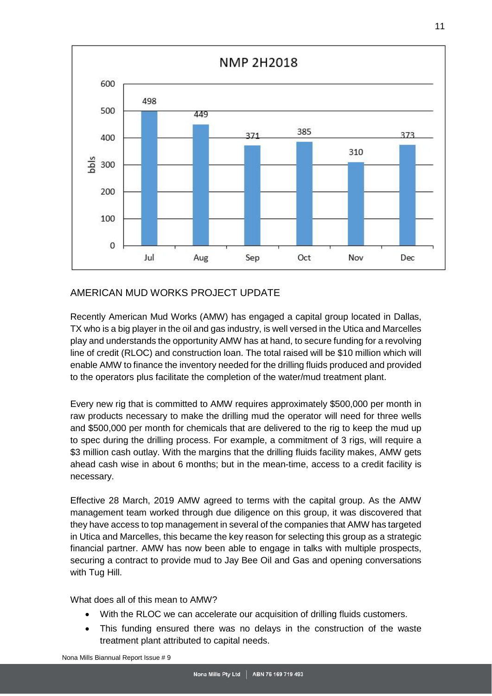

## <span id="page-10-0"></span>AMERICAN MUD WORKS PROJECT UPDATE

Recently American Mud Works (AMW) has engaged a capital group located in Dallas, TX who is a big player in the oil and gas industry, is well versed in the Utica and Marcelles play and understands the opportunity AMW has at hand, to secure funding for a revolving line of credit (RLOC) and construction loan. The total raised will be \$10 million which will enable AMW to finance the inventory needed for the drilling fluids produced and provided to the operators plus facilitate the completion of the water/mud treatment plant.

Every new rig that is committed to AMW requires approximately \$500,000 per month in raw products necessary to make the drilling mud the operator will need for three wells and \$500,000 per month for chemicals that are delivered to the rig to keep the mud up to spec during the drilling process. For example, a commitment of 3 rigs, will require a \$3 million cash outlay. With the margins that the drilling fluids facility makes, AMW gets ahead cash wise in about 6 months; but in the mean-time, access to a credit facility is necessary.

Effective 28 March, 2019 AMW agreed to terms with the capital group. As the AMW management team worked through due diligence on this group, it was discovered that they have access to top management in several of the companies that AMW has targeted in Utica and Marcelles, this became the key reason for selecting this group as a strategic financial partner. AMW has now been able to engage in talks with multiple prospects, securing a contract to provide mud to Jay Bee Oil and Gas and opening conversations with Tug Hill.

What does all of this mean to AMW?

- With the RLOC we can accelerate our acquisition of drilling fluids customers.
- This funding ensured there was no delays in the construction of the waste treatment plant attributed to capital needs.